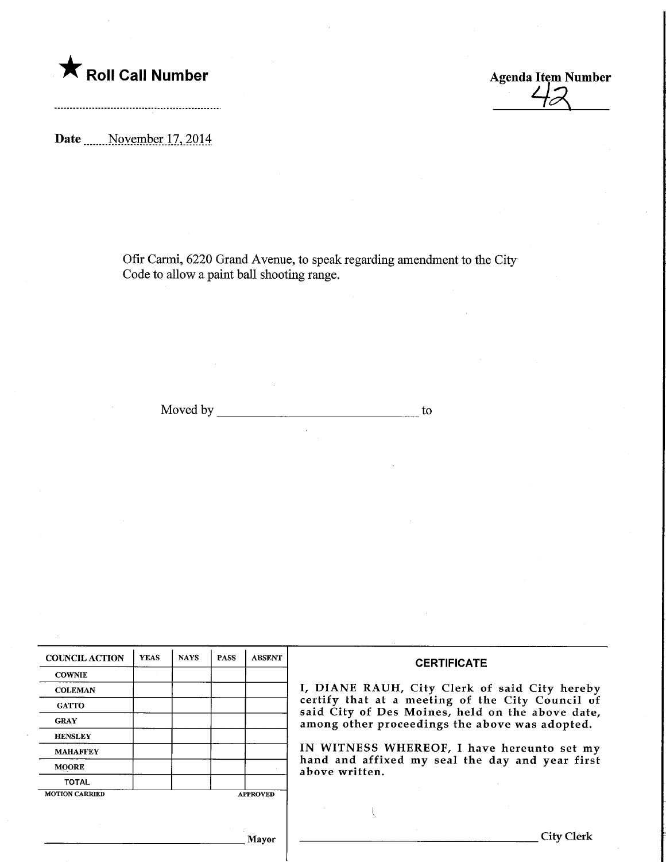

 $42$ 

Date Movember 17, 2014

Ofir Carmi, 6220 Grand Avenue, to speak regarding amendment to the City Code to allow a paint ball shooting range.

Moved by to to the state of the state of the state of the state of the state of the state of the state of the state of the state of the state of the state of the state of the state of the state of the state of the state of

| <b>COUNCIL ACTION</b> | <b>YEAS</b> | <b>NAYS</b> | <b>PASS</b> | <b>ABSENT</b>   | <b>CERTIFICATE</b>                                                                                   |
|-----------------------|-------------|-------------|-------------|-----------------|------------------------------------------------------------------------------------------------------|
| <b>COWNIE</b>         |             |             |             |                 |                                                                                                      |
| <b>COLEMAN</b>        |             |             |             |                 | I, DIANE RAUH, City Clerk of said City hereby                                                        |
| <b>GATTO</b>          |             |             |             |                 | certify that at a meeting of the City Council of<br>said City of Des Moines, held on the above date, |
| <b>GRAY</b>           |             |             |             |                 | among other proceedings the above was adopted.                                                       |
| <b>HENSLEY</b>        |             |             |             |                 |                                                                                                      |
| <b>MAHAFFEY</b>       |             |             |             |                 | IN WITNESS WHEREOF, I have hereunto set my                                                           |
| <b>MOORE</b>          |             |             |             |                 | hand and affixed my seal the day and year first<br>above written.                                    |
| <b>TOTAL</b>          |             |             |             |                 |                                                                                                      |
| <b>MOTION CARRIED</b> |             |             |             | <b>APPROVED</b> |                                                                                                      |
|                       |             |             |             |                 |                                                                                                      |
|                       |             |             |             | Mayor           | <b>City Clerk</b>                                                                                    |